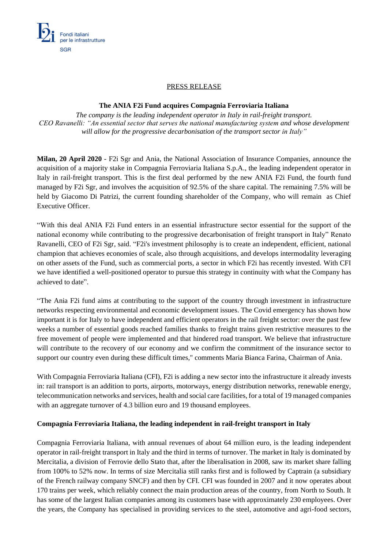

### PRESS RELEASE

### **The ANIA F2i Fund acquires Compagnia Ferroviaria Italiana**

*The company is the leading independent operator in Italy in rail-freight transport. CEO Ravanelli: "An essential sector that serves the national manufacturing system and whose development will allow for the progressive decarbonisation of the transport sector in Italy"*

**Milan, 20 April 2020** - F2i Sgr and Ania, the National Association of Insurance Companies, announce the acquisition of a majority stake in Compagnia Ferroviaria Italiana S.p.A., the leading independent operator in Italy in rail-freight transport. This is the first deal performed by the new ANIA F2i Fund, the fourth fund managed by F2i Sgr, and involves the acquisition of 92.5% of the share capital. The remaining 7.5% will be held by Giacomo Di Patrizi, the current founding shareholder of the Company, who will remain as Chief Executive Officer.

"With this deal ANIA F2i Fund enters in an essential infrastructure sector essential for the support of the national economy while contributing to the progressive decarbonisation of freight transport in Italy" Renato Ravanelli, CEO of F2i Sgr, said. "F2i's investment philosophy is to create an independent, efficient, national champion that achieves economies of scale, also through acquisitions, and develops intermodality leveraging on other assets of the Fund, such as commercial ports, a sector in which F2i has recently invested. With CFI we have identified a well-positioned operator to pursue this strategy in continuity with what the Company has achieved to date".

"The Ania F2i fund aims at contributing to the support of the country through investment in infrastructure networks respecting environmental and economic development issues. The Covid emergency has shown how important it is for Italy to have independent and efficient operators in the rail freight sector: over the past few weeks a number of essential goods reached families thanks to freight trains given restrictive measures to the free movement of people were implemented and that hindered road transport. We believe that infrastructure will contribute to the recovery of our economy and we confirm the commitment of the insurance sector to support our country even during these difficult times," comments Maria Bianca Farina, Chairman of Ania.

With Compagnia Ferroviaria Italiana (CFI), F2i is adding a new sector into the infrastructure it already invests in: rail transport is an addition to ports, airports, motorways, energy distribution networks, renewable energy, telecommunication networks and services, health and social care facilities, for a total of 19 managed companies with an aggregate turnover of 4.3 billion euro and 19 thousand employees.

# **Compagnia Ferroviaria Italiana, the leading independent in rail-freight transport in Italy**

Compagnia Ferroviaria Italiana, with annual revenues of about 64 million euro, is the leading independent operator in rail-freight transport in Italy and the third in terms of turnover. The market in Italy is dominated by Mercitalia, a division of Ferrovie dello Stato that, after the liberalisation in 2008, saw its market share falling from 100% to 52% now. In terms of size Mercitalia still ranks first and is followed by Captrain (a subsidiary of the French railway company SNCF) and then by CFI. CFI was founded in 2007 and it now operates about 170 trains per week, which reliably connect the main production areas of the country, from North to South. It has some of the largest Italian companies among its customers base with approximately 230 employees. Over the years, the Company has specialised in providing services to the steel, automotive and agri-food sectors,